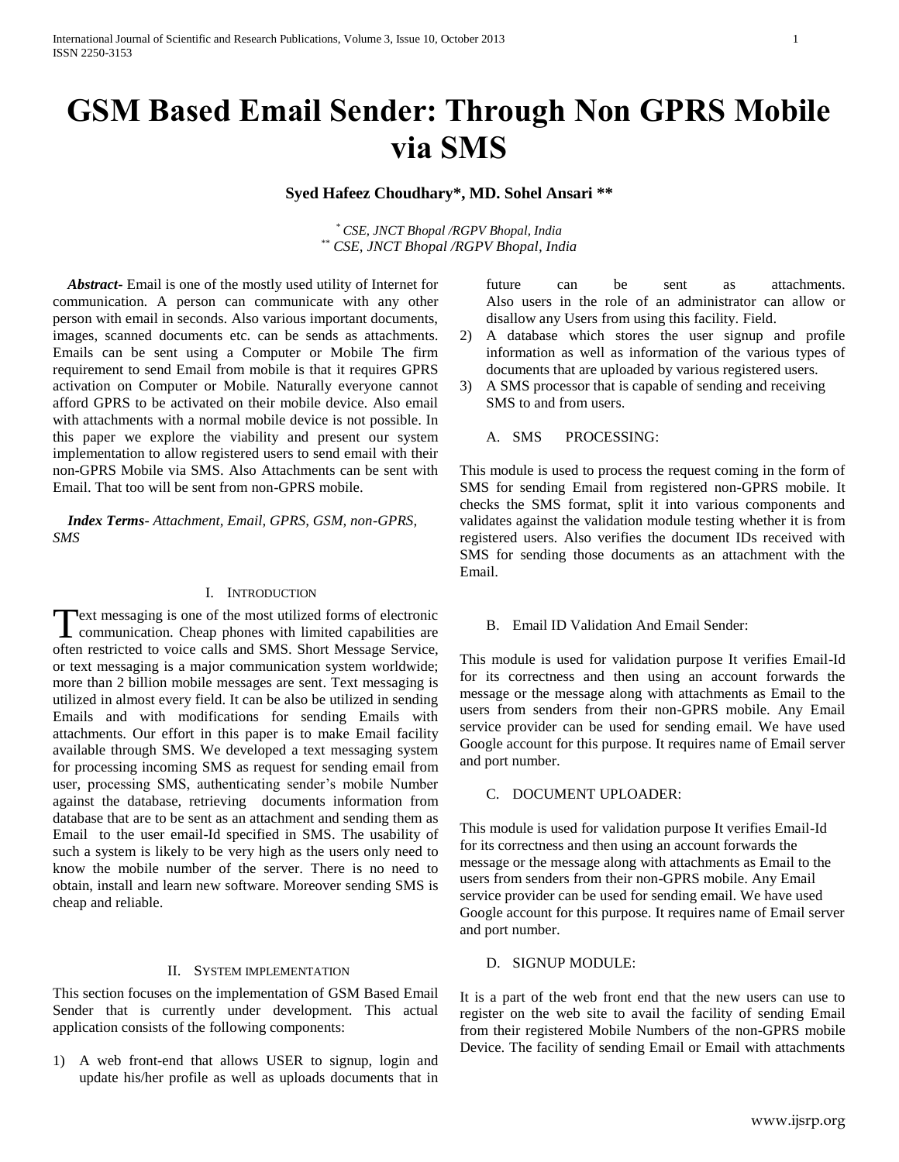# **GSM Based Email Sender: Through Non GPRS Mobile via SMS**

**Syed Hafeez Choudhary\*, MD. Sohel Ansari \*\***

\* *CSE, JNCT Bhopal /RGPV Bhopal, India* \*\* *CSE, JNCT Bhopal /RGPV Bhopal, India*

 *Abstract***-** Email is one of the mostly used utility of Internet for communication. A person can communicate with any other person with email in seconds. Also various important documents, images, scanned documents etc. can be sends as attachments. Emails can be sent using a Computer or Mobile The firm requirement to send Email from mobile is that it requires GPRS activation on Computer or Mobile. Naturally everyone cannot afford GPRS to be activated on their mobile device. Also email with attachments with a normal mobile device is not possible. In this paper we explore the viability and present our system implementation to allow registered users to send email with their non-GPRS Mobile via SMS. Also Attachments can be sent with Email. That too will be sent from non-GPRS mobile.

 *Index Terms*- *Attachment, Email, GPRS, GSM, non-GPRS, SMS*

# I. INTRODUCTION

ext messaging is one of the most utilized forms of electronic Text messaging is one of the most utilized forms of electronic<br>communication. Cheap phones with limited capabilities are often restricted to voice calls and SMS. Short Message Service, or text messaging is a major communication system worldwide; more than 2 billion mobile messages are sent. Text messaging is utilized in almost every field. It can be also be utilized in sending Emails and with modifications for sending Emails with attachments. Our effort in this paper is to make Email facility available through SMS. We developed a text messaging system for processing incoming SMS as request for sending email from user, processing SMS, authenticating sender's mobile Number against the database, retrieving documents information from database that are to be sent as an attachment and sending them as Email to the user email-Id specified in SMS. The usability of such a system is likely to be very high as the users only need to know the mobile number of the server. There is no need to obtain, install and learn new software. Moreover sending SMS is cheap and reliable.

#### II. SYSTEM IMPLEMENTATION

This section focuses on the implementation of GSM Based Email Sender that is currently under development. This actual application consists of the following components:

1) A web front-end that allows USER to signup, login and update his/her profile as well as uploads documents that in future can be sent as attachments. Also users in the role of an administrator can allow or disallow any Users from using this facility. Field.

- 2) A database which stores the user signup and profile information as well as information of the various types of documents that are uploaded by various registered users.
- 3) A SMS processor that is capable of sending and receiving SMS to and from users.

# A. SMS PROCESSING:

This module is used to process the request coming in the form of SMS for sending Email from registered non-GPRS mobile. It checks the SMS format, split it into various components and validates against the validation module testing whether it is from registered users. Also verifies the document IDs received with SMS for sending those documents as an attachment with the Email.

# B. Email ID Validation And Email Sender:

This module is used for validation purpose It verifies Email-Id for its correctness and then using an account forwards the message or the message along with attachments as Email to the users from senders from their non-GPRS mobile. Any Email service provider can be used for sending email. We have used Google account for this purpose. It requires name of Email server and port number.

# C. DOCUMENT UPLOADER:

This module is used for validation purpose It verifies Email-Id for its correctness and then using an account forwards the message or the message along with attachments as Email to the users from senders from their non-GPRS mobile. Any Email service provider can be used for sending email. We have used Google account for this purpose. It requires name of Email server and port number.

## D. SIGNUP MODULE:

It is a part of the web front end that the new users can use to register on the web site to avail the facility of sending Email from their registered Mobile Numbers of the non-GPRS mobile Device. The facility of sending Email or Email with attachments